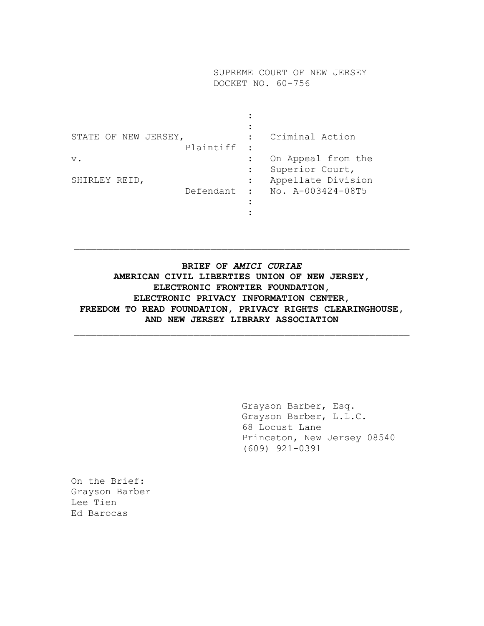SUPREME COURT OF NEW JERSEY DOCKET NO. 60-756

| STATE OF NEW JERSEY, | Plaintiff | Criminal Action                                      |
|----------------------|-----------|------------------------------------------------------|
| $V$ .                |           | On Appeal from the<br>Superior Court,                |
| SHIRLEY REID,        | Defendant | Appellate Division<br>$\therefore$ No. A-003424-08T5 |
|                      |           |                                                      |

# **BRIEF OF** *AMICI CURIAE* **AMERICAN CIVIL LIBERTIES UNION OF NEW JERSEY, ELECTRONIC FRONTIER FOUNDATION, ELECTRONIC PRIVACY INFORMATION CENTER, FREEDOM TO READ FOUNDATION, PRIVACY RIGHTS CLEARINGHOUSE, AND NEW JERSEY LIBRARY ASSOCIATION**

 $\_$  , and the set of the set of the set of the set of the set of the set of the set of the set of the set of the set of the set of the set of the set of the set of the set of the set of the set of the set of the set of th

 $\_$  , and the set of the set of the set of the set of the set of the set of the set of the set of the set of the set of the set of the set of the set of the set of the set of the set of the set of the set of the set of th

Grayson Barber, Esq. Grayson Barber, L.L.C. 68 Locust Lane Princeton, New Jersey 08540 (609) 921-0391

On the Brief: Grayson Barber Lee Tien Ed Barocas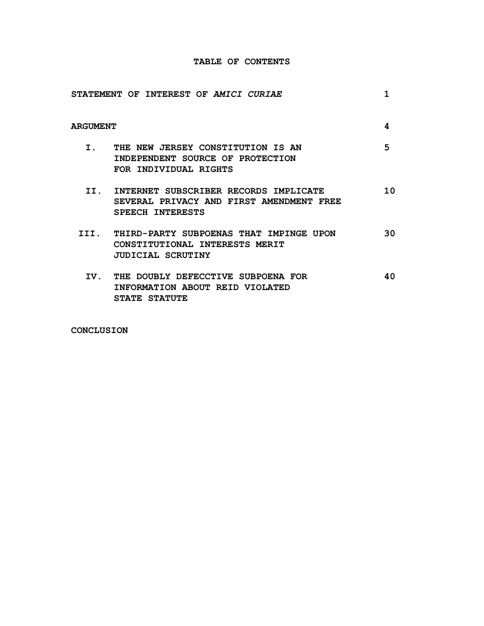### **TABLE OF CONTENTS**

|                 | STATEMENT OF INTEREST OF AMICI CURIAE                                                                      | 1  |
|-----------------|------------------------------------------------------------------------------------------------------------|----|
| <b>ARGUMENT</b> |                                                                                                            | 4  |
|                 | I. THE NEW JERSEY CONSTITUTION IS AN<br>INDEPENDENT SOURCE OF PROTECTION<br>FOR INDIVIDUAL RIGHTS          | 5  |
|                 | II. INTERNET SUBSCRIBER RECORDS IMPLICATE<br>SEVERAL PRIVACY AND FIRST AMENDMENT FREE<br>SPEECH INTERESTS  | 10 |
|                 | III. THIRD-PARTY SUBPOENAS THAT IMPINGE UPON<br>CONSTITUTIONAL INTERESTS MERIT<br><b>JUDICIAL SCRUTINY</b> | 30 |
|                 | IV. THE DOUBLY DEFECCTIVE SUBPOENA FOR<br>INFORMATION ABOUT REID VIOLATED<br><b>STATE STATUTE</b>          | 40 |

**CONCLUSION**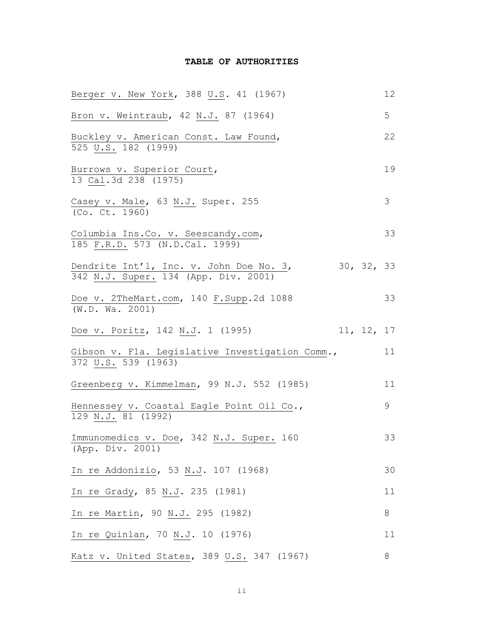### **TABLE OF AUTHORITIES**

| Berger v. New York, 388 U.S. 41 (1967)                                       |            | 12            |
|------------------------------------------------------------------------------|------------|---------------|
| Bron v. Weintraub, 42 N.J. 87 (1964)                                         |            | 5             |
| Buckley v. American Const. Law Found,<br>525 U.S. 182 (1999)                 |            | 22            |
| Burrows v. Superior Court,<br>13 Cal.3d 238 (1975)                           |            | 19            |
| Casey v. Male, 63 N.J. Super. 255<br>(Co. Ct. 1960)                          |            | $\mathcal{S}$ |
| Columbia Ins.Co. v. Seescandy.com,<br>185 F.R.D. 573 (N.D.Cal. 1999)         |            | 33            |
| Dendrite Int'l, Inc. v. John Doe No. 3, 342 N.J. Super. 134 (App. Div. 2001) | 30, 32, 33 |               |
| Doe v. 2TheMart.com, 140 F.Supp.2d 1088<br>(W.D. Wa. 2001)                   |            | 33            |
| Doe v. Poritz, 142 N.J. 1 (1995)                                             | 11, 12, 17 |               |
| Gibson v. Fla. Legislative Investigation Comm.,<br>372 U.S. 539 (1963)       |            | 11            |
| Greenberg v. Kimmelman, 99 N.J. 552 (1985)                                   |            | 11            |
| Hennessey v. Coastal Eagle Point Oil Co.,<br>129 N.J. 81 (1992)              |            | 9             |
| Immunomedics v. Doe, 342 N.J. Super. 160<br>(App. Div. 2001)                 |            | 33            |
| In re Addonizio, 53 N.J. 107 (1968)                                          |            | 30            |
| In re Grady, 85 N.J. 235 (1981)                                              |            | 11            |
| In re Martin, 90 N.J. 295 (1982)                                             |            | 8             |
| In re Quinlan, 70 N.J. 10 (1976)                                             |            | 11            |
| Katz v. United States, 389 U.S. 347 (1967)                                   |            | 8             |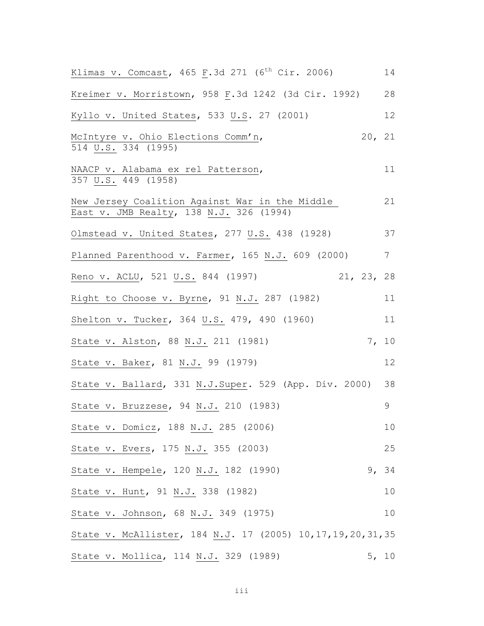| Klimas v. Comcast, 465 F.3d 271 ( $6^{th}$ Cir. 2006)                                     | 14     |
|-------------------------------------------------------------------------------------------|--------|
| Kreimer v. Morristown, 958 F.3d 1242 (3d Cir. 1992)                                       | 28     |
| Kyllo v. United States, 533 U.S. 27 (2001)                                                | 12     |
| McIntyre v. Ohio Elections Comm'n,<br>514 U.S. 334 (1995)                                 | 20, 21 |
| NAACP v. Alabama ex rel Patterson,<br>357 U.S. 449 (1958)                                 | 11     |
| New Jersey Coalition Against War in the Middle<br>East v. JMB Realty, 138 N.J. 326 (1994) | 21     |
| Olmstead v. United States, 277 U.S. 438 (1928)                                            | 37     |
| Planned Parenthood v. Farmer, 165 N.J. 609 (2000)                                         | 7      |
| 21, 23, 28<br>Reno v. ACLU, 521 U.S. 844 (1997)                                           |        |
| Right to Choose v. Byrne, 91 N.J. 287 (1982)                                              | 11     |
| Shelton v. Tucker, 364 U.S. 479, 490 (1960)                                               | 11     |
| State v. Alston, 88 N.J. 211 (1981)                                                       | 7, 10  |
| State v. Baker, 81 N.J. 99 (1979)                                                         | 12     |
| State v. Ballard, 331 N.J.Super. 529 (App. Div. 2000)                                     | 38     |
| State v. Bruzzese, 94 N.J. 210 (1983)                                                     | 9      |
| State v. Domicz, 188 N.J. 285 (2006)                                                      | 10     |
| State v. Evers, 175 N.J. 355 (2003)                                                       | 25     |
| 9 <sub>r</sub><br>State v. Hempele, 120 N.J. 182 (1990)                                   | 34     |
| State v. Hunt, 91 N.J. 338 (1982)                                                         | 10     |
| State v. Johnson, 68 N.J. 349 (1975)                                                      | 10     |
| State v. McAllister, 184 N.J. 17 (2005) 10, 17, 19, 20, 31, 35                            |        |
| State v. Mollica, 114 N.J. 329 (1989)                                                     | 5, 10  |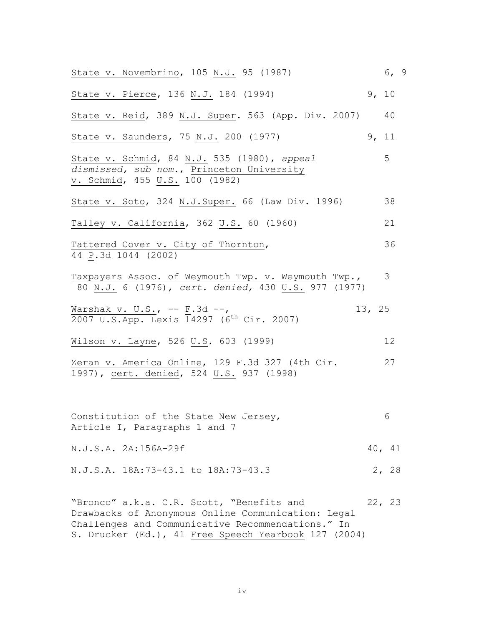| State v. Novembrino, 105 N.J. 95 (1987)                                                                                                              |        | 6, 9  |  |
|------------------------------------------------------------------------------------------------------------------------------------------------------|--------|-------|--|
| State v. Pierce, 136 N.J. 184 (1994)                                                                                                                 | 9, 10  |       |  |
| State v. Reid, 389 N.J. Super. 563 (App. Div. 2007)                                                                                                  |        | 40    |  |
| State v. Saunders, 75 N.J. 200 (1977)                                                                                                                | 9, 11  |       |  |
| State v. Schmid, 84 N.J. 535 (1980), appeal<br>dismissed, sub nom., Princeton University<br>v. Schmid, 455 U.S. 100 (1982)                           |        | 5     |  |
| State v. Soto, 324 N.J.Super. 66 (Law Div. 1996)                                                                                                     |        | 38    |  |
| Talley v. California, 362 U.S. 60 (1960)                                                                                                             |        | 21    |  |
| Tattered Cover v. City of Thornton,<br>44 P.3d 1044 (2002)                                                                                           |        | 36    |  |
| Taxpayers Assoc. of Weymouth Twp. v. Weymouth Twp.,<br>80 N.J. 6 (1976), cert. denied, 430 U.S. 977 (1977)                                           |        | 3     |  |
| Warshak v. U.S., $--$ F.3d $--$ ,<br>2007 U.S.App. Lexis 14297 (6 <sup>th</sup> Cir. 2007)                                                           | 13, 25 |       |  |
| Wilson v. Layne, 526 U.S. 603 (1999)                                                                                                                 |        | 12    |  |
| Zeran v. America Online, 129 F.3d 327 (4th Cir.<br>1997), cert. denied, 524 U.S. 937 (1998)                                                          |        | 27    |  |
| Constitution of the State New Jersey,<br>Article I, Paragraphs 1 and 7                                                                               |        | 6     |  |
| N.J.S.A. 2A:156A-29f                                                                                                                                 | 40, 41 |       |  |
| N.J.S.A. 18A:73-43.1 to 18A:73-43.3                                                                                                                  |        | 2, 28 |  |
| "Bronco" a.k.a. C.R. Scott, "Benefits and<br>Drawbacks of Anonymous Online Communication: Legal<br>Challenges and Communicative Recommendations." In | 22, 23 |       |  |

S. Drucker (Ed.), 41 Free Speech Yearbook 127 (2004)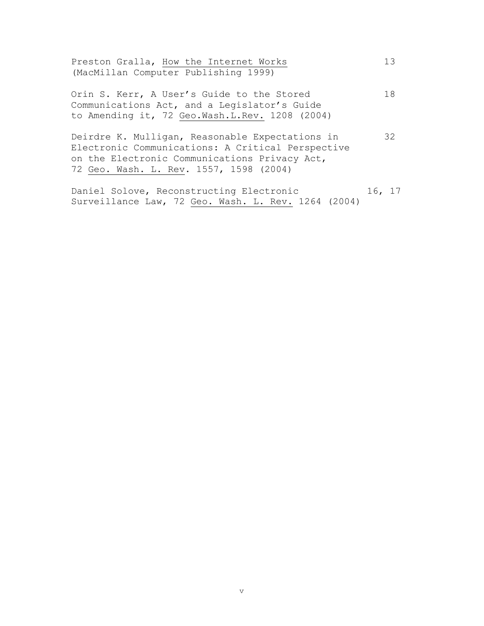|  | Preston Gralla, How the Internet Works |  |
|--|----------------------------------------|--|
|  | (MacMillan Computer Publishing 1999)   |  |

Orin S. Kerr, A User's Guide to the Stored 18 Communications Act, and a Legislator's Guide to Amending it, 72 Geo.Wash.L.Rev. 1208 (2004)

Deirdre K. Mulligan, Reasonable Expectations in 32 Electronic Communications: A Critical Perspective on the Electronic Communications Privacy Act, 72 Geo. Wash. L. Rev. 1557, 1598 (2004)

Daniel Solove, Reconstructing Electronic 16, 17 Surveillance Law, 72 Geo. Wash. L. Rev. 1264 (2004)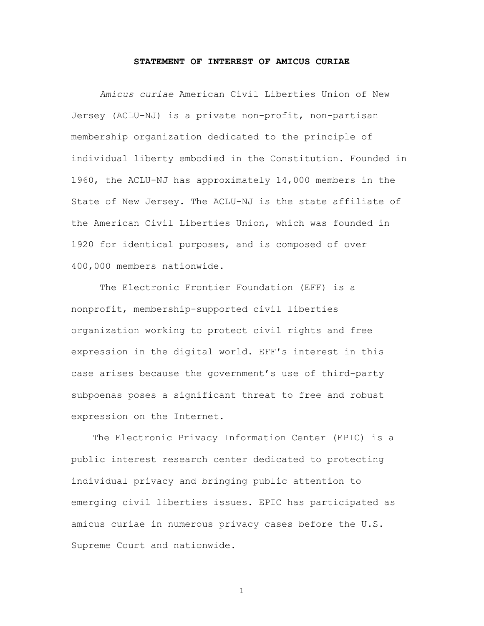#### **STATEMENT OF INTEREST OF AMICUS CURIAE**

*Amicus curiae* American Civil Liberties Union of New Jersey (ACLU-NJ) is a private non-profit, non-partisan membership organization dedicated to the principle of individual liberty embodied in the Constitution. Founded in 1960, the ACLU-NJ has approximately 14,000 members in the State of New Jersey. The ACLU-NJ is the state affiliate of the American Civil Liberties Union, which was founded in 1920 for identical purposes, and is composed of over 400,000 members nationwide.

The Electronic Frontier Foundation (EFF) is a nonprofit, membership-supported civil liberties organization working to protect civil rights and free expression in the digital world. EFF's interest in this case arises because the government's use of third-party subpoenas poses a significant threat to free and robust expression on the Internet.

The Electronic Privacy Information Center (EPIC) is a public interest research center dedicated to protecting individual privacy and bringing public attention to emerging civil liberties issues. EPIC has participated as amicus curiae in numerous privacy cases before the U.S. Supreme Court and nationwide.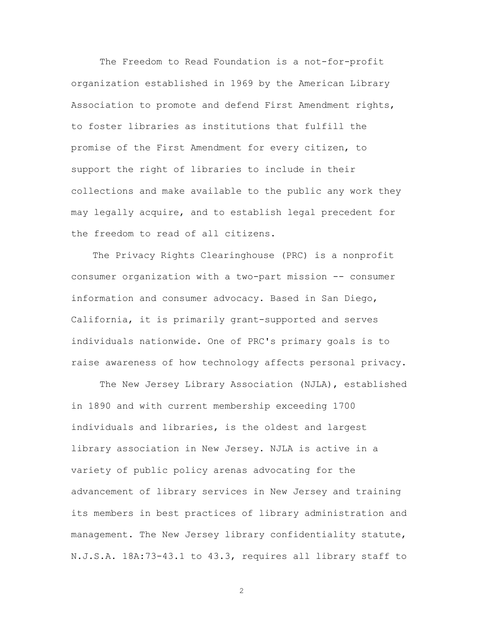The Freedom to Read Foundation is a not-for-profit organization established in 1969 by the American Library Association to promote and defend First Amendment rights, to foster libraries as institutions that fulfill the promise of the First Amendment for every citizen, to support the right of libraries to include in their collections and make available to the public any work they may legally acquire, and to establish legal precedent for the freedom to read of all citizens.

The Privacy Rights Clearinghouse (PRC) is a nonprofit consumer organization with a two-part mission -- consumer information and consumer advocacy. Based in San Diego, California, it is primarily grant-supported and serves individuals nationwide. One of PRC's primary goals is to raise awareness of how technology affects personal privacy.

The New Jersey Library Association (NJLA), established in 1890 and with current membership exceeding 1700 individuals and libraries, is the oldest and largest library association in New Jersey. NJLA is active in a variety of public policy arenas advocating for the advancement of library services in New Jersey and training its members in best practices of library administration and management. The New Jersey library confidentiality statute, N.J.S.A. 18A:73-43.1 to 43.3, requires all library staff to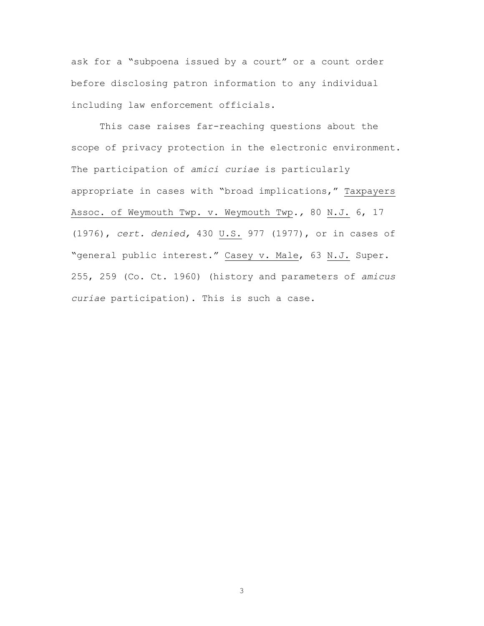ask for a "subpoena issued by a court" or a count order before disclosing patron information to any individual including law enforcement officials.

This case raises far-reaching questions about the scope of privacy protection in the electronic environment. The participation of *amici curiae* is particularly appropriate in cases with "broad implications," Taxpayers Assoc. of Weymouth Twp. v. Weymouth Twp*.,* 80 N.J. 6, 17 (1976), *cert. denied,* 430 U.S. 977 (1977), or in cases of "general public interest." Casey v. Male, 63 N.J. Super. 255, 259 (Co. Ct. 1960) (history and parameters of *amicus curiae* participation). This is such a case.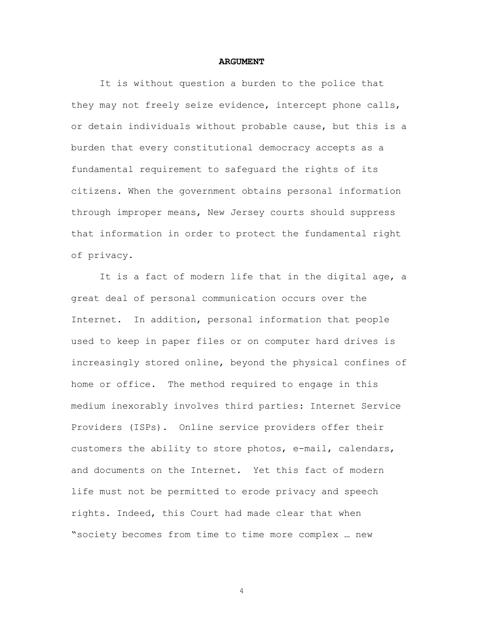#### **ARGUMENT**

It is without question a burden to the police that they may not freely seize evidence, intercept phone calls, or detain individuals without probable cause, but this is a burden that every constitutional democracy accepts as a fundamental requirement to safeguard the rights of its citizens. When the government obtains personal information through improper means, New Jersey courts should suppress that information in order to protect the fundamental right of privacy.

It is a fact of modern life that in the digital age, a great deal of personal communication occurs over the Internet. In addition, personal information that people used to keep in paper files or on computer hard drives is increasingly stored online, beyond the physical confines of home or office. The method required to engage in this medium inexorably involves third parties: Internet Service Providers (ISPs). Online service providers offer their customers the ability to store photos, e-mail, calendars, and documents on the Internet. Yet this fact of modern life must not be permitted to erode privacy and speech rights. Indeed, this Court had made clear that when "society becomes from time to time more complex … new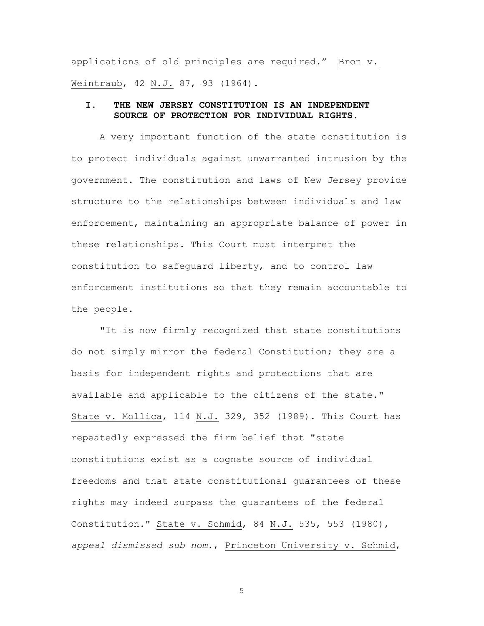applications of old principles are required." Bron v. Weintraub, 42 N.J. 87, 93 (1964).

### **I. THE NEW JERSEY CONSTITUTION IS AN INDEPENDENT SOURCE OF PROTECTION FOR INDIVIDUAL RIGHTS.**

A very important function of the state constitution is to protect individuals against unwarranted intrusion by the government. The constitution and laws of New Jersey provide structure to the relationships between individuals and law enforcement, maintaining an appropriate balance of power in these relationships. This Court must interpret the constitution to safeguard liberty, and to control law enforcement institutions so that they remain accountable to the people.

"It is now firmly recognized that state constitutions do not simply mirror the federal Constitution; they are a basis for independent rights and protections that are available and applicable to the citizens of the state." State v. Mollica, 114 N.J. 329, 352 (1989). This Court has repeatedly expressed the firm belief that "state constitutions exist as a cognate source of individual freedoms and that state constitutional guarantees of these rights may indeed surpass the guarantees of the federal Constitution." State v. Schmid, 84 N.J. 535, 553 (1980), *appeal dismissed sub nom*., Princeton University v. Schmid,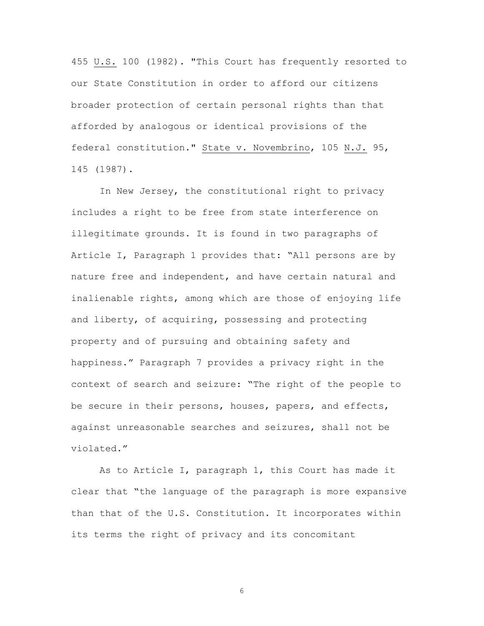455 U.S. 100 (1982). "This Court has frequently resorted to our State Constitution in order to afford our citizens broader protection of certain personal rights than that afforded by analogous or identical provisions of the federal constitution." State v. Novembrino, 105 N.J. 95, 145 (1987).

In New Jersey, the constitutional right to privacy includes a right to be free from state interference on illegitimate grounds. It is found in two paragraphs of Article I, Paragraph 1 provides that: "All persons are by nature free and independent, and have certain natural and inalienable rights, among which are those of enjoying life and liberty, of acquiring, possessing and protecting property and of pursuing and obtaining safety and happiness." Paragraph 7 provides a privacy right in the context of search and seizure: "The right of the people to be secure in their persons, houses, papers, and effects, against unreasonable searches and seizures, shall not be violated."

As to Article I, paragraph 1, this Court has made it clear that "the language of the paragraph is more expansive than that of the U.S. Constitution. It incorporates within its terms the right of privacy and its concomitant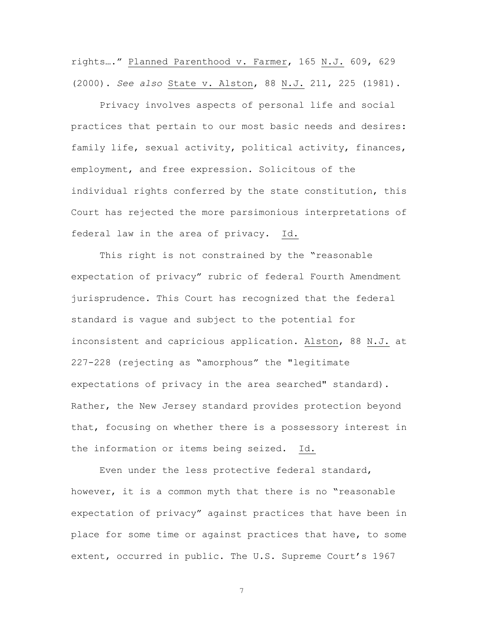rights…." Planned Parenthood v. Farmer, 165 N.J. 609, 629 (2000). *See also* State v. Alston, 88 N.J. 211, 225 (1981).

Privacy involves aspects of personal life and social practices that pertain to our most basic needs and desires: family life, sexual activity, political activity, finances, employment, and free expression. Solicitous of the individual rights conferred by the state constitution, this Court has rejected the more parsimonious interpretations of federal law in the area of privacy. Id.

This right is not constrained by the "reasonable expectation of privacy" rubric of federal Fourth Amendment jurisprudence. This Court has recognized that the federal standard is vague and subject to the potential for inconsistent and capricious application. Alston, 88 N.J. at 227-228 (rejecting as "amorphous" the "legitimate expectations of privacy in the area searched" standard). Rather, the New Jersey standard provides protection beyond that, focusing on whether there is a possessory interest in the information or items being seized. Id.

Even under the less protective federal standard, however, it is a common myth that there is no "reasonable expectation of privacy" against practices that have been in place for some time or against practices that have, to some extent, occurred in public. The U.S. Supreme Court's 1967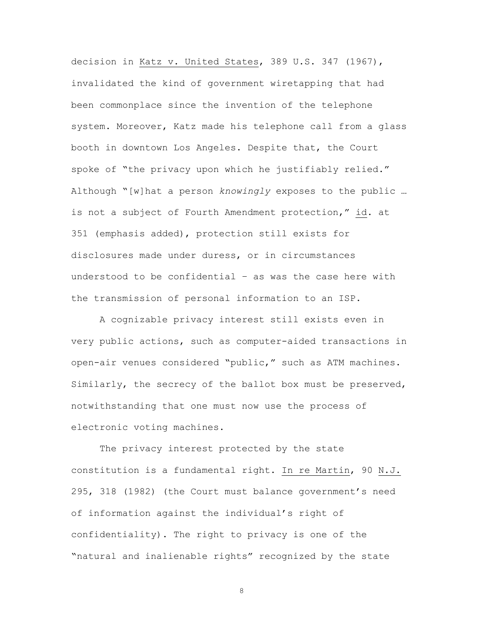decision in Katz v. United States, 389 U.S. 347 (1967), invalidated the kind of government wiretapping that had been commonplace since the invention of the telephone system. Moreover, Katz made his telephone call from a glass booth in downtown Los Angeles. Despite that, the Court spoke of "the privacy upon which he justifiably relied." Although "[w]hat a person *knowingly* exposes to the public … is not a subject of Fourth Amendment protection," id. at 351 (emphasis added), protection still exists for disclosures made under duress, or in circumstances understood to be confidential – as was the case here with the transmission of personal information to an ISP.

A cognizable privacy interest still exists even in very public actions, such as computer-aided transactions in open-air venues considered "public," such as ATM machines. Similarly, the secrecy of the ballot box must be preserved, notwithstanding that one must now use the process of electronic voting machines.

The privacy interest protected by the state constitution is a fundamental right. In re Martin, 90 N.J. 295, 318 (1982) (the Court must balance government's need of information against the individual's right of confidentiality). The right to privacy is one of the "natural and inalienable rights" recognized by the state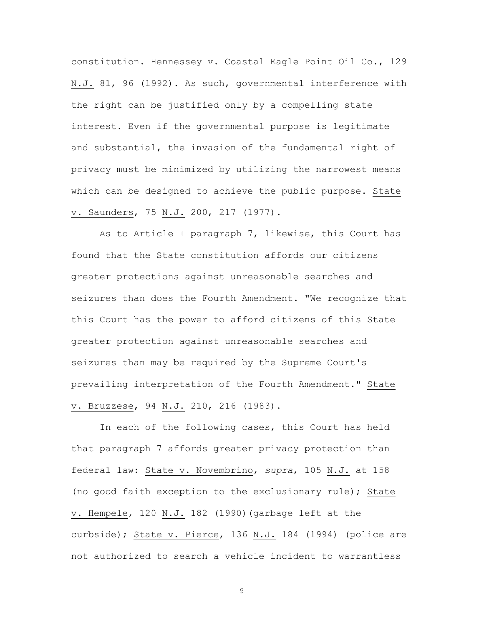constitution. Hennessey v. Coastal Eagle Point Oil Co., 129 N.J. 81, 96 (1992). As such, governmental interference with the right can be justified only by a compelling state interest. Even if the governmental purpose is legitimate and substantial, the invasion of the fundamental right of privacy must be minimized by utilizing the narrowest means which can be designed to achieve the public purpose. State v. Saunders, 75 N.J. 200, 217 (1977).

As to Article I paragraph 7, likewise, this Court has found that the State constitution affords our citizens greater protections against unreasonable searches and seizures than does the Fourth Amendment. "We recognize that this Court has the power to afford citizens of this State greater protection against unreasonable searches and seizures than may be required by the Supreme Court's prevailing interpretation of the Fourth Amendment." State v. Bruzzese, 94 N.J. 210, 216 (1983).

In each of the following cases, this Court has held that paragraph 7 affords greater privacy protection than federal law: State v. Novembrino, *supra*, 105 N.J. at 158 (no good faith exception to the exclusionary rule); State v. Hempele, 120 N.J. 182 (1990)(garbage left at the curbside); State v. Pierce, 136 N.J. 184 (1994) (police are not authorized to search a vehicle incident to warrantless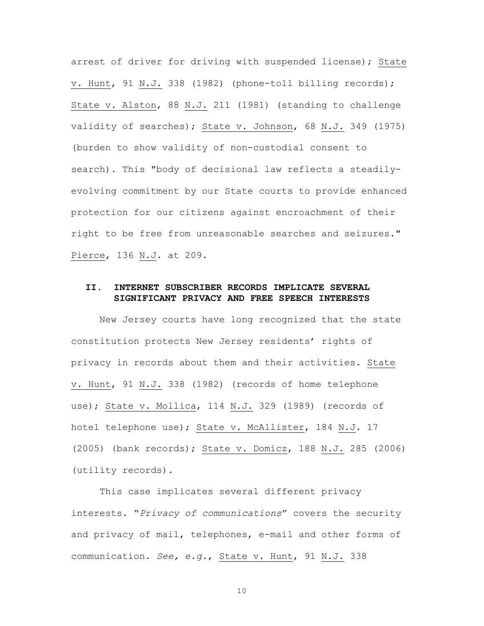arrest of driver for driving with suspended license); State v. Hunt, 91 N.J. 338 (1982) (phone-toll billing records); State v. Alston, 88 N.J. 211 (1981) (standing to challenge validity of searches); State v. Johnson, 68 N.J. 349 (1975) (burden to show validity of non-custodial consent to search). This "body of decisional law reflects a steadilyevolving commitment by our State courts to provide enhanced protection for our citizens against encroachment of their right to be free from unreasonable searches and seizures." Pierce, 136 N.J. at 209.

### **II. INTERNET SUBSCRIBER RECORDS IMPLICATE SEVERAL SIGNIFICANT PRIVACY AND FREE SPEECH INTERESTS**

New Jersey courts have long recognized that the state constitution protects New Jersey residents' rights of privacy in records about them and their activities. State v. Hunt, 91 N.J. 338 (1982) (records of home telephone use); State v. Mollica, 114 N.J. 329 (1989) (records of hotel telephone use); State v. McAllister, 184 N.J. 17 (2005) (bank records); State v. Domicz, 188 N.J. 285 (2006) (utility records).

This case implicates several different privacy interests. "*Privacy of communications*" covers the security and privacy of mail, telephones, e-mail and other forms of communication. *See, e.g.*, State v. Hunt, 91 N.J. 338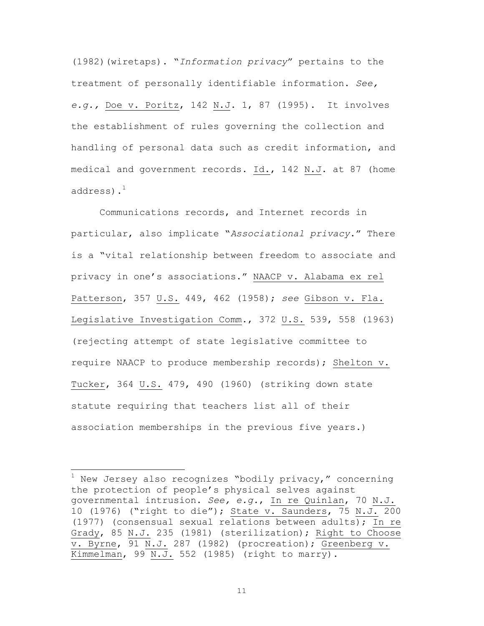(1982)(wiretaps). "*Information privacy*" pertains to the treatment of personally identifiable information. *See, e.g.,* Doe v. Poritz, 142 N.J. 1, 87 (1995). It involves the establishment of rules governing the collection and handling of personal data such as credit information, and medical and government records. Id., 142 N.J. at 87 (home address). $<sup>1</sup>$ </sup>

Communications records, and Internet records in particular, also implicate "*Associational privacy*." There is a "vital relationship between freedom to associate and privacy in one's associations." NAACP v. Alabama ex rel Patterson, 357 U.S. 449, 462 (1958); *see* Gibson v. Fla. Legislative Investigation Comm., 372 U.S. 539, 558 (1963) (rejecting attempt of state legislative committee to require NAACP to produce membership records); Shelton v. Tucker, 364 U.S. 479, 490 (1960) (striking down state statute requiring that teachers list all of their association memberships in the previous five years.)

1 New Jersey also recognizes "bodily privacy," concerning the protection of people's physical selves against governmental intrusion. *See, e.g.*, In re Quinlan, 70 N.J. 10 (1976) ("right to die"); State v. Saunders, 75 N.J. 200 (1977) (consensual sexual relations between adults); In re Grady, 85 N.J. 235 (1981) (sterilization); Right to Choose v. Byrne, 91 N.J. 287 (1982) (procreation); Greenberg v. Kimmelman, 99 N.J. 552 (1985) (right to marry).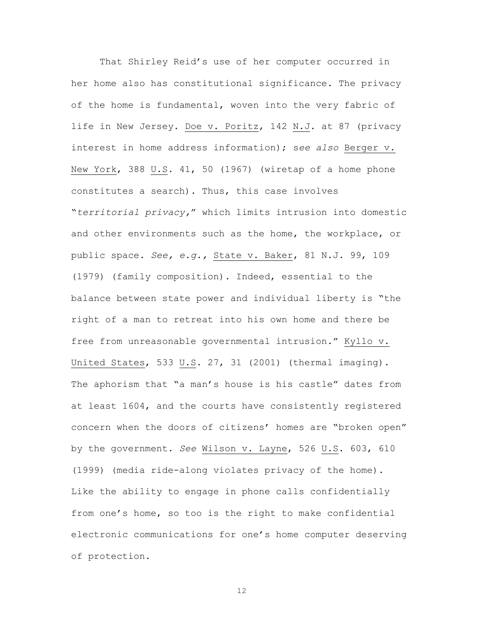That Shirley Reid's use of her computer occurred in her home also has constitutional significance. The privacy of the home is fundamental, woven into the very fabric of life in New Jersey. Doe v. Poritz, 142 N.J. at 87 (privacy interest in home address information); s*ee also* Berger v. New York, 388 U.S. 41, 50 (1967) (wiretap of a home phone constitutes a search). Thus, this case involves "*territorial privacy,*" which limits intrusion into domestic and other environments such as the home, the workplace, or public space. *See, e.g.,* State v. Baker, 81 N.J. 99, 109 (1979) (family composition). Indeed, essential to the balance between state power and individual liberty is "the right of a man to retreat into his own home and there be free from unreasonable governmental intrusion." Kyllo v. United States, 533 U.S. 27, 31 (2001) (thermal imaging). The aphorism that "a man's house is his castle" dates from at least 1604, and the courts have consistently registered concern when the doors of citizens' homes are "broken open" by the government. *See* Wilson v. Layne, 526 U.S. 603, 610 (1999) (media ride-along violates privacy of the home). Like the ability to engage in phone calls confidentially from one's home, so too is the right to make confidential electronic communications for one's home computer deserving of protection.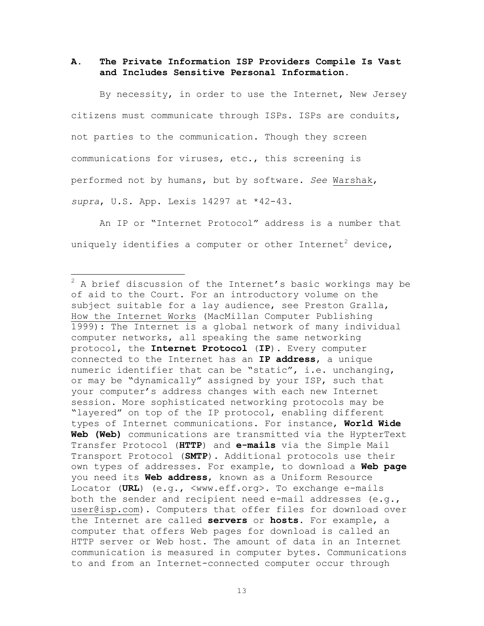### **A. The Private Information ISP Providers Compile Is Vast and Includes Sensitive Personal Information.**

By necessity, in order to use the Internet, New Jersey citizens must communicate through ISPs. ISPs are conduits, not parties to the communication. Though they screen communications for viruses, etc., this screening is performed not by humans, but by software. *See* Warshak, *supra*, U.S. App. Lexis 14297 at \*42-43.

An IP or "Internet Protocol" address is a number that uniquely identifies a computer or other Internet $^2$  device,

2 A brief discussion of the Internet's basic workings may be of aid to the Court. For an introductory volume on the subject suitable for a lay audience, see Preston Gralla, How the Internet Works (MacMillan Computer Publishing 1999): The Internet is a global network of many individual computer networks, all speaking the same networking protocol, the **Internet Protocol** (**IP**). Every computer connected to the Internet has an **IP address**, a unique numeric identifier that can be "static", i.e. unchanging, or may be "dynamically" assigned by your ISP, such that your computer's address changes with each new Internet session. More sophisticated networking protocols may be "layered" on top of the IP protocol, enabling different types of Internet communications. For instance, **World Wide Web (Web)** communications are transmitted via the HypterText Transfer Protocol (**HTTP**) and **e-mails** via the Simple Mail Transport Protocol (**SMTP**). Additional protocols use their own types of addresses. For example, to download a **Web page** you need its **Web address**, known as a Uniform Resource Locator (**URL**) (e.g., <www.eff.org>. To exchange e-mails both the sender and recipient need e-mail addresses  $(e,q,$ user@isp.com). Computers that offer files for download over the Internet are called **servers** or **hosts**. For example, a computer that offers Web pages for download is called an HTTP server or Web host. The amount of data in an Internet communication is measured in computer bytes. Communications to and from an Internet-connected computer occur through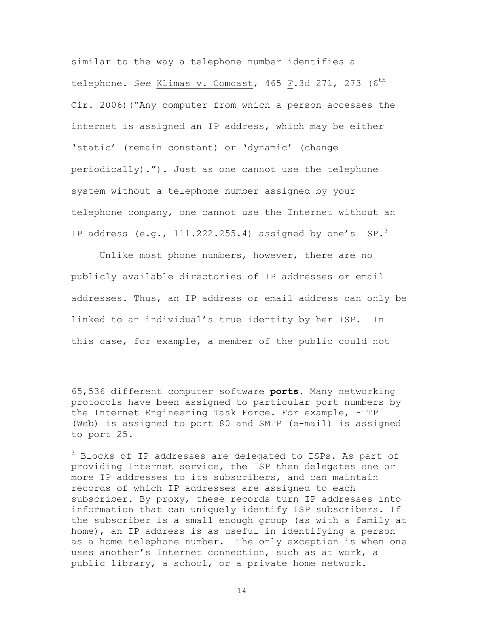similar to the way a telephone number identifies a telephone. *See* Klimas v. Comcast, 465 F.3d 271, 273 (6<sup>th</sup> Cir. 2006)("Any computer from which a person accesses the internet is assigned an IP address, which may be either 'static' (remain constant) or 'dynamic' (change periodically)."). Just as one cannot use the telephone system without a telephone number assigned by your telephone company, one cannot use the Internet without an IP address (e.g.,  $111.222.255.4$ ) assigned by one's ISP.<sup>3</sup>

Unlike most phone numbers, however, there are no publicly available directories of IP addresses or email addresses. Thus, an IP address or email address can only be linked to an individual's true identity by her ISP. In this case, for example, a member of the public could not

65,536 different computer software **ports**. Many networking protocols have been assigned to particular port numbers by the Internet Engineering Task Force. For example, HTTP (Web) is assigned to port 80 and SMTP (e-mail) is assigned to port 25.

 $\overline{a}$ 

<sup>3</sup> Blocks of IP addresses are delegated to ISPs. As part of providing Internet service, the ISP then delegates one or more IP addresses to its subscribers, and can maintain records of which IP addresses are assigned to each subscriber. By proxy, these records turn IP addresses into information that can uniquely identify ISP subscribers. If the subscriber is a small enough group (as with a family at home), an IP address is as useful in identifying a person as a home telephone number. The only exception is when one uses another's Internet connection, such as at work, a public library, a school, or a private home network.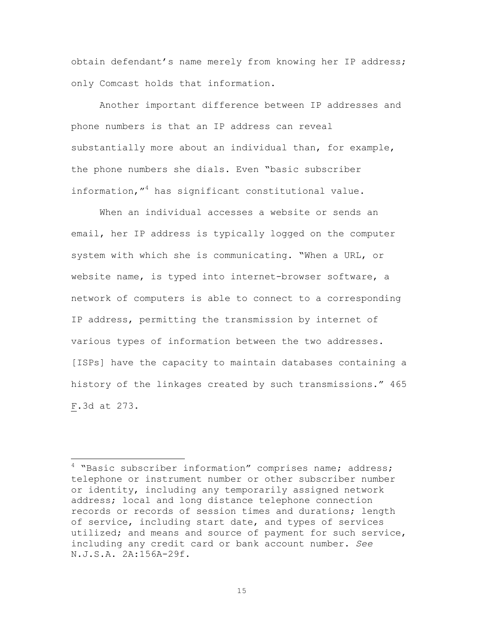obtain defendant's name merely from knowing her IP address; only Comcast holds that information.

Another important difference between IP addresses and phone numbers is that an IP address can reveal substantially more about an individual than, for example, the phone numbers she dials. Even "basic subscriber information,"4 has significant constitutional value.

When an individual accesses a website or sends an email, her IP address is typically logged on the computer system with which she is communicating. "When a URL, or website name, is typed into internet-browser software, a network of computers is able to connect to a corresponding IP address, permitting the transmission by internet of various types of information between the two addresses. [ISPs] have the capacity to maintain databases containing a history of the linkages created by such transmissions." 465 F.3d at 273.

4 "Basic subscriber information" comprises name; address; telephone or instrument number or other subscriber number or identity, including any temporarily assigned network address; local and long distance telephone connection records or records of session times and durations; length of service, including start date, and types of services utilized; and means and source of payment for such service, including any credit card or bank account number. *See* N.J.S.A. 2A:156A-29f.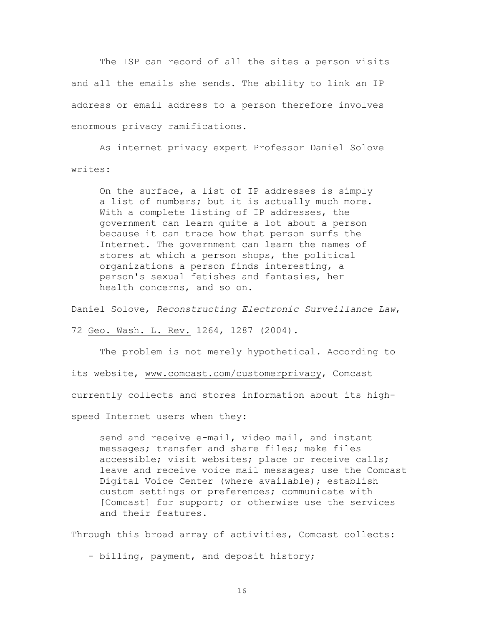The ISP can record of all the sites a person visits and all the emails she sends. The ability to link an IP address or email address to a person therefore involves enormous privacy ramifications.

As internet privacy expert Professor Daniel Solove writes:

On the surface, a list of IP addresses is simply a list of numbers; but it is actually much more. With a complete listing of IP addresses, the government can learn quite a lot about a person because it can trace how that person surfs the Internet. The government can learn the names of stores at which a person shops, the political organizations a person finds interesting, a person's sexual fetishes and fantasies, her health concerns, and so on.

Daniel Solove, *Reconstructing Electronic Surveillance Law*,

72 Geo. Wash. L. Rev. 1264, 1287 (2004).

The problem is not merely hypothetical. According to its website, www.comcast.com/customerprivacy, Comcast currently collects and stores information about its high-

speed Internet users when they:

send and receive e-mail, video mail, and instant messages; transfer and share files; make files accessible; visit websites; place or receive calls; leave and receive voice mail messages; use the Comcast Digital Voice Center (where available); establish custom settings or preferences; communicate with [Comcast] for support; or otherwise use the services and their features.

Through this broad array of activities, Comcast collects:

- billing, payment, and deposit history;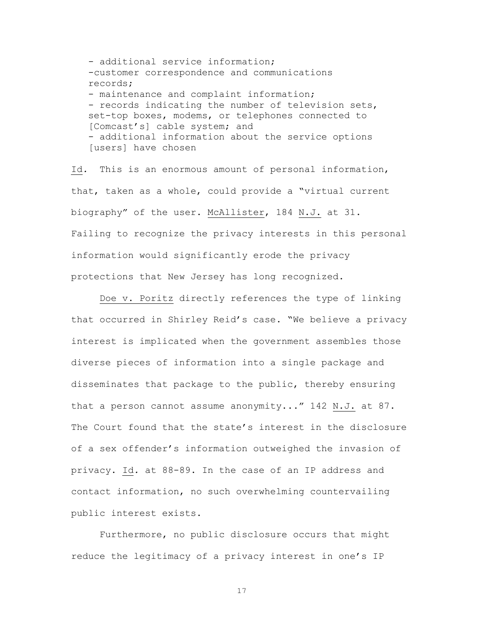- additional service information; -customer correspondence and communications records; - maintenance and complaint information; - records indicating the number of television sets, set-top boxes, modems, or telephones connected to [Comcast's] cable system; and - additional information about the service options [users] have chosen

Id*.* This is an enormous amount of personal information, that, taken as a whole, could provide a "virtual current biography" of the user. McAllister, 184 N.J. at 31. Failing to recognize the privacy interests in this personal information would significantly erode the privacy protections that New Jersey has long recognized.

Doe v. Poritz directly references the type of linking that occurred in Shirley Reid's case. "We believe a privacy interest is implicated when the government assembles those diverse pieces of information into a single package and disseminates that package to the public, thereby ensuring that a person cannot assume anonymity..." 142 N.J. at 87. The Court found that the state's interest in the disclosure of a sex offender's information outweighed the invasion of privacy. Id*.* at 88-89. In the case of an IP address and contact information, no such overwhelming countervailing public interest exists.

Furthermore, no public disclosure occurs that might reduce the legitimacy of a privacy interest in one's IP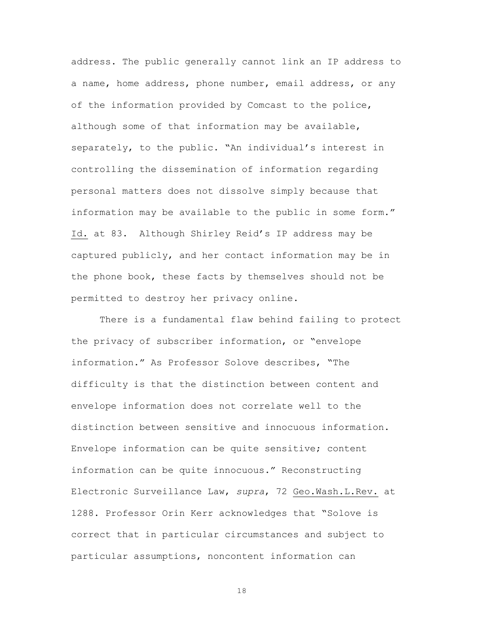address. The public generally cannot link an IP address to a name, home address, phone number, email address, or any of the information provided by Comcast to the police, although some of that information may be available, separately, to the public. "An individual's interest in controlling the dissemination of information regarding personal matters does not dissolve simply because that information may be available to the public in some form." Id. at 83. Although Shirley Reid's IP address may be captured publicly, and her contact information may be in the phone book, these facts by themselves should not be permitted to destroy her privacy online.

There is a fundamental flaw behind failing to protect the privacy of subscriber information, or "envelope information." As Professor Solove describes, "The difficulty is that the distinction between content and envelope information does not correlate well to the distinction between sensitive and innocuous information. Envelope information can be quite sensitive; content information can be quite innocuous." Reconstructing Electronic Surveillance Law, *supra*, 72 Geo.Wash.L.Rev. at 1288. Professor Orin Kerr acknowledges that "Solove is correct that in particular circumstances and subject to particular assumptions, noncontent information can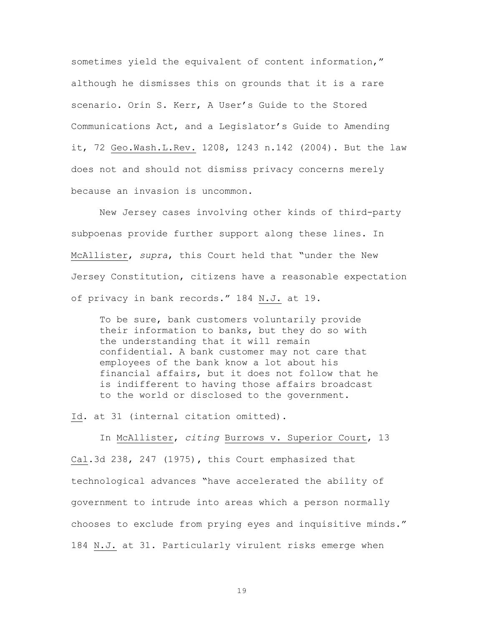sometimes yield the equivalent of content information," although he dismisses this on grounds that it is a rare scenario. Orin S. Kerr, A User's Guide to the Stored Communications Act, and a Legislator's Guide to Amending it, 72 Geo.Wash.L.Rev. 1208, 1243 n.142 (2004). But the law does not and should not dismiss privacy concerns merely because an invasion is uncommon.

New Jersey cases involving other kinds of third-party subpoenas provide further support along these lines. In McAllister, *supra*, this Court held that "under the New Jersey Constitution, citizens have a reasonable expectation of privacy in bank records." 184 N.J. at 19.

To be sure, bank customers voluntarily provide their information to banks, but they do so with the understanding that it will remain confidential. A bank customer may not care that employees of the bank know a lot about his financial affairs, but it does not follow that he is indifferent to having those affairs broadcast to the world or disclosed to the government.

Id. at 31 (internal citation omitted).

In McAllister, *citing* Burrows v. Superior Court, 13 Cal.3d 238, 247 (1975)**,** this Court emphasized that technological advances "have accelerated the ability of government to intrude into areas which a person normally chooses to exclude from prying eyes and inquisitive minds." 184 N.J. at 31. Particularly virulent risks emerge when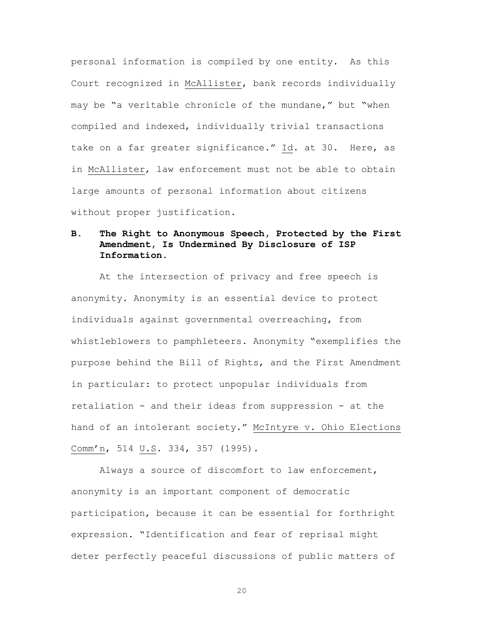personal information is compiled by one entity. As this Court recognized in McAllister, bank records individually may be "a veritable chronicle of the mundane," but "when compiled and indexed, individually trivial transactions take on a far greater significance." Id. at 30. Here, as in McAllister, law enforcement must not be able to obtain large amounts of personal information about citizens without proper justification.

## **B. The Right to Anonymous Speech, Protected by the First Amendment, Is Undermined By Disclosure of ISP Information.**

At the intersection of privacy and free speech is anonymity. Anonymity is an essential device to protect individuals against governmental overreaching, from whistleblowers to pamphleteers. Anonymity "exemplifies the purpose behind the Bill of Rights, and the First Amendment in particular: to protect unpopular individuals from retaliation - and their ideas from suppression - at the hand of an intolerant society." McIntyre v. Ohio Elections Comm'n, 514 U.S. 334, 357 (1995).

Always a source of discomfort to law enforcement, anonymity is an important component of democratic participation, because it can be essential for forthright expression. "Identification and fear of reprisal might deter perfectly peaceful discussions of public matters of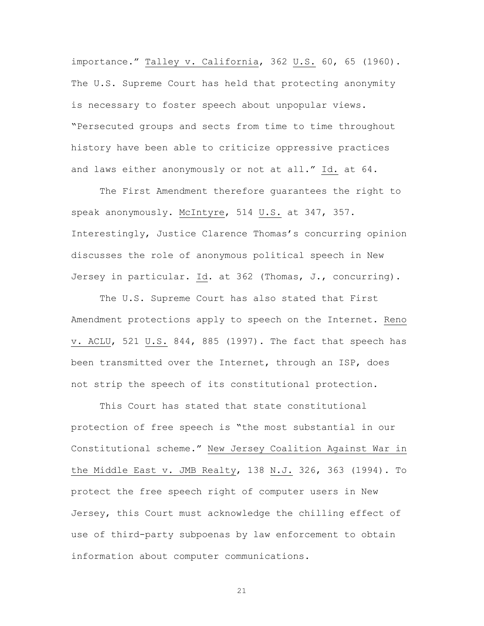importance." Talley v. California, 362 U.S. 60, 65 (1960). The U.S. Supreme Court has held that protecting anonymity is necessary to foster speech about unpopular views. "Persecuted groups and sects from time to time throughout history have been able to criticize oppressive practices and laws either anonymously or not at all." Id. at 64.

The First Amendment therefore guarantees the right to speak anonymously. McIntyre, 514 U.S. at 347, 357. Interestingly, Justice Clarence Thomas's concurring opinion discusses the role of anonymous political speech in New Jersey in particular. Id. at 362 (Thomas, J., concurring).

The U.S. Supreme Court has also stated that First Amendment protections apply to speech on the Internet. Reno v. ACLU, 521 U.S. 844, 885 (1997). The fact that speech has been transmitted over the Internet, through an ISP, does not strip the speech of its constitutional protection.

This Court has stated that state constitutional protection of free speech is "the most substantial in our Constitutional scheme." New Jersey Coalition Against War in the Middle East v. JMB Realty, 138 N.J. 326, 363 (1994). To protect the free speech right of computer users in New Jersey, this Court must acknowledge the chilling effect of use of third-party subpoenas by law enforcement to obtain information about computer communications.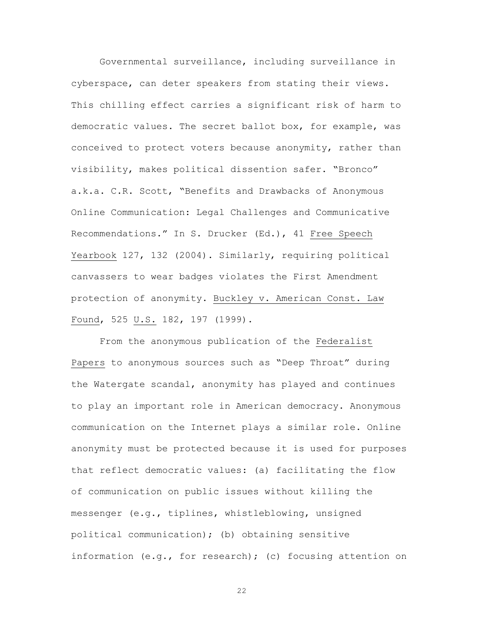Governmental surveillance, including surveillance in cyberspace, can deter speakers from stating their views. This chilling effect carries a significant risk of harm to democratic values. The secret ballot box, for example, was conceived to protect voters because anonymity, rather than visibility, makes political dissention safer. "Bronco" a.k.a. C.R. Scott, "Benefits and Drawbacks of Anonymous Online Communication: Legal Challenges and Communicative Recommendations." In S. Drucker (Ed.), 41 Free Speech Yearbook 127, 132 (2004). Similarly, requiring political canvassers to wear badges violates the First Amendment protection of anonymity. Buckley v. American Const. Law Found, 525 U.S. 182, 197 (1999).

From the anonymous publication of the Federalist Papers to anonymous sources such as "Deep Throat" during the Watergate scandal, anonymity has played and continues to play an important role in American democracy. Anonymous communication on the Internet plays a similar role. Online anonymity must be protected because it is used for purposes that reflect democratic values: (a) facilitating the flow of communication on public issues without killing the messenger (e.g., tiplines, whistleblowing, unsigned political communication); (b) obtaining sensitive information (e.g., for research); (c) focusing attention on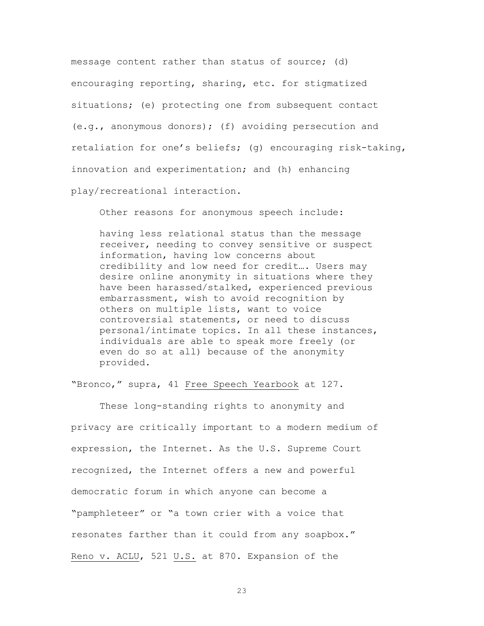message content rather than status of source; (d) encouraging reporting, sharing, etc. for stigmatized situations; (e) protecting one from subsequent contact (e.g., anonymous donors); (f) avoiding persecution and retaliation for one's beliefs; (g) encouraging risk-taking, innovation and experimentation; and (h) enhancing play/recreational interaction.

Other reasons for anonymous speech include:

having less relational status than the message receiver, needing to convey sensitive or suspect information, having low concerns about credibility and low need for credit…. Users may desire online anonymity in situations where they have been harassed/stalked, experienced previous embarrassment, wish to avoid recognition by others on multiple lists, want to voice controversial statements, or need to discuss personal/intimate topics. In all these instances, individuals are able to speak more freely (or even do so at all) because of the anonymity provided.

"Bronco," supra, 41 Free Speech Yearbook at 127.

These long-standing rights to anonymity and privacy are critically important to a modern medium of expression, the Internet. As the U.S. Supreme Court recognized, the Internet offers a new and powerful democratic forum in which anyone can become a "pamphleteer" or "a town crier with a voice that resonates farther than it could from any soapbox." Reno v. ACLU, 521 U.S. at 870. Expansion of the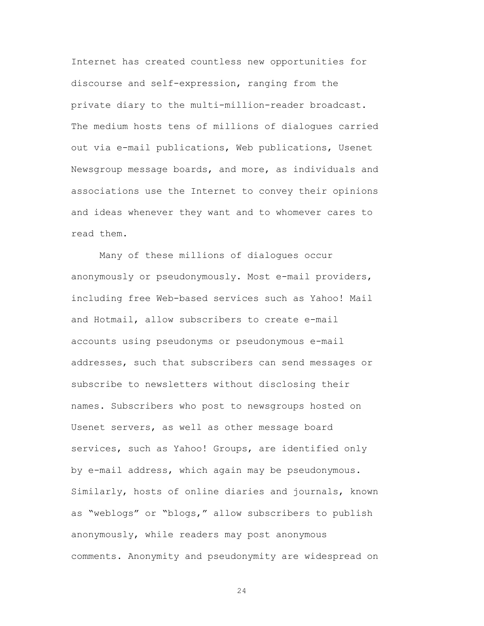Internet has created countless new opportunities for discourse and self-expression, ranging from the private diary to the multi-million-reader broadcast. The medium hosts tens of millions of dialogues carried out via e-mail publications, Web publications, Usenet Newsgroup message boards, and more, as individuals and associations use the Internet to convey their opinions and ideas whenever they want and to whomever cares to read them.

Many of these millions of dialogues occur anonymously or pseudonymously. Most e-mail providers, including free Web-based services such as Yahoo! Mail and Hotmail, allow subscribers to create e-mail accounts using pseudonyms or pseudonymous e-mail addresses, such that subscribers can send messages or subscribe to newsletters without disclosing their names. Subscribers who post to newsgroups hosted on Usenet servers, as well as other message board services, such as Yahoo! Groups, are identified only by e-mail address, which again may be pseudonymous. Similarly, hosts of online diaries and journals, known as "weblogs" or "blogs," allow subscribers to publish anonymously, while readers may post anonymous comments. Anonymity and pseudonymity are widespread on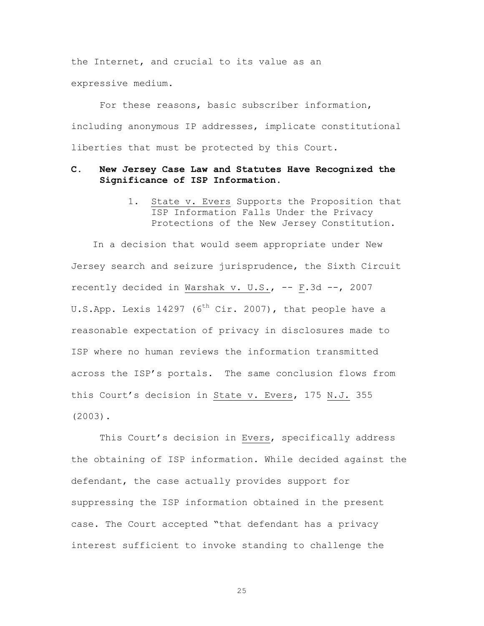the Internet, and crucial to its value as an expressive medium.

For these reasons, basic subscriber information, including anonymous IP addresses, implicate constitutional liberties that must be protected by this Court.

### **C. New Jersey Case Law and Statutes Have Recognized the Significance of ISP Information.**

1. State v. Evers Supports the Proposition that ISP Information Falls Under the Privacy Protections of the New Jersey Constitution.

In a decision that would seem appropriate under New Jersey search and seizure jurisprudence, the Sixth Circuit recently decided in Warshak v. U.S., -- F.3d --, 2007 U.S.App. Lexis 14297 (6<sup>th</sup> Cir. 2007), that people have a reasonable expectation of privacy in disclosures made to ISP where no human reviews the information transmitted across the ISP's portals. The same conclusion flows from this Court's decision in State v. Evers, 175 N.J. 355 (2003).

This Court's decision in Evers, specifically address the obtaining of ISP information. While decided against the defendant, the case actually provides support for suppressing the ISP information obtained in the present case. The Court accepted "that defendant has a privacy interest sufficient to invoke standing to challenge the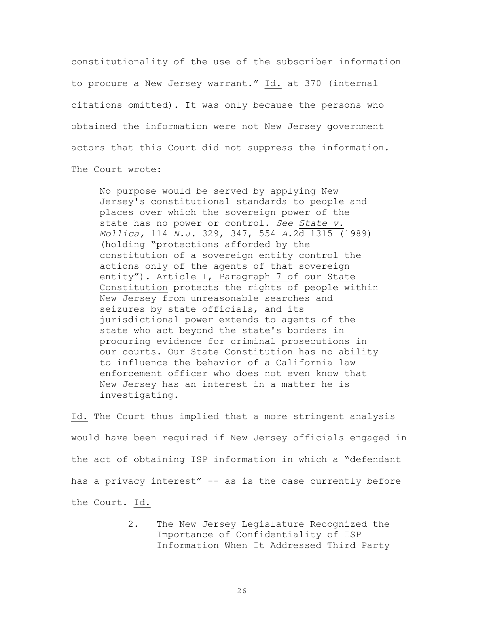constitutionality of the use of the subscriber information to procure a New Jersey warrant." Id. at 370 (internal citations omitted). It was only because the persons who obtained the information were not New Jersey government actors that this Court did not suppress the information. The Court wrote:

No purpose would be served by applying New Jersey's constitutional standards to people and places over which the sovereign power of the state has no power or control. *See State v. Mollica,* 114 *N.J.* 329, 347, 554 *A.*2d 1315 (1989) (holding "protections afforded by the constitution of a sovereign entity control the actions only of the agents of that sovereign entity"). Article I, Paragraph 7 of our State Constitution protects the rights of people within New Jersey from unreasonable searches and seizures by state officials, and its jurisdictional power extends to agents of the state who act beyond the state's borders in procuring evidence for criminal prosecutions in our courts. Our State Constitution has no ability to influence the behavior of a California law enforcement officer who does not even know that New Jersey has an interest in a matter he is investigating.

Id. The Court thus implied that a more stringent analysis would have been required if New Jersey officials engaged in the act of obtaining ISP information in which a "defendant has a privacy interest" -- as is the case currently before the Court. Id.

> 2. The New Jersey Legislature Recognized the Importance of Confidentiality of ISP Information When It Addressed Third Party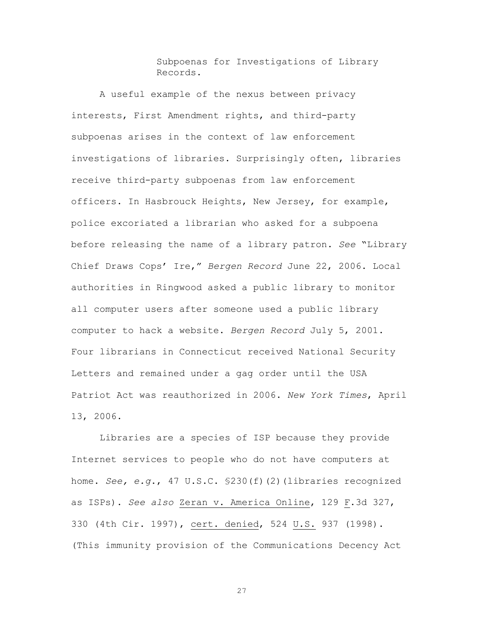Subpoenas for Investigations of Library Records.

A useful example of the nexus between privacy interests, First Amendment rights, and third-party subpoenas arises in the context of law enforcement investigations of libraries. Surprisingly often, libraries receive third-party subpoenas from law enforcement officers. In Hasbrouck Heights, New Jersey, for example, police excoriated a librarian who asked for a subpoena before releasing the name of a library patron. *See* "Library Chief Draws Cops' Ire," *Bergen Record* June 22, 2006. Local authorities in Ringwood asked a public library to monitor all computer users after someone used a public library computer to hack a website. *Bergen Record* July 5, 2001. Four librarians in Connecticut received National Security Letters and remained under a gag order until the USA Patriot Act was reauthorized in 2006. *New York Times*, April 13, 2006.

Libraries are a species of ISP because they provide Internet services to people who do not have computers at home. *See, e.g*., 47 U.S.C. §230(f)(2)(libraries recognized as ISPs). *See also* Zeran v. America Online, 129 F.3d 327, 330 (4th Cir. 1997), cert. denied, 524 U.S. 937 (1998). (This immunity provision of the Communications Decency Act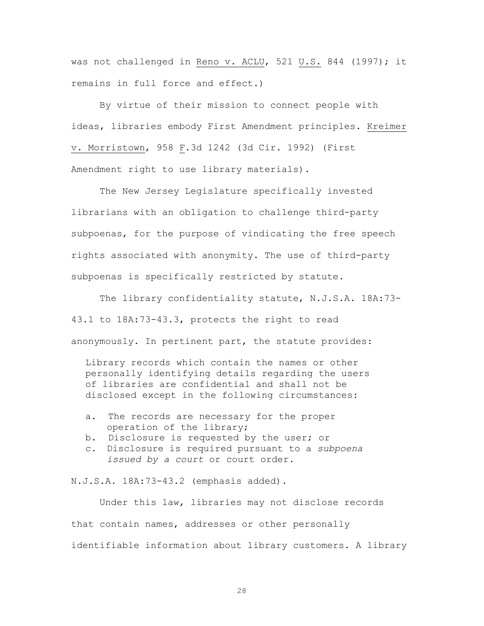was not challenged in Reno v. ACLU, 521 U.S. 844 (1997); it remains in full force and effect.)

By virtue of their mission to connect people with ideas, libraries embody First Amendment principles. Kreimer v. Morristown, 958 F.3d 1242 (3d Cir. 1992) (First Amendment right to use library materials).

The New Jersey Legislature specifically invested librarians with an obligation to challenge third-party subpoenas, for the purpose of vindicating the free speech rights associated with anonymity. The use of third-party subpoenas is specifically restricted by statute.

The library confidentiality statute, N.J.S.A. 18A:73- 43.1 to 18A:73-43.3, protects the right to read anonymously. In pertinent part, the statute provides:

Library records which contain the names or other personally identifying details regarding the users of libraries are confidential and shall not be disclosed except in the following circumstances:

- a. The records are necessary for the proper operation of the library;
- b. Disclosure is requested by the user; or
- c. Disclosure is required pursuant to a *subpoena issued by a court* or court order.

N.J.S.A. 18A:73-43.2 (emphasis added).

Under this law, libraries may not disclose records that contain names, addresses or other personally identifiable information about library customers. A library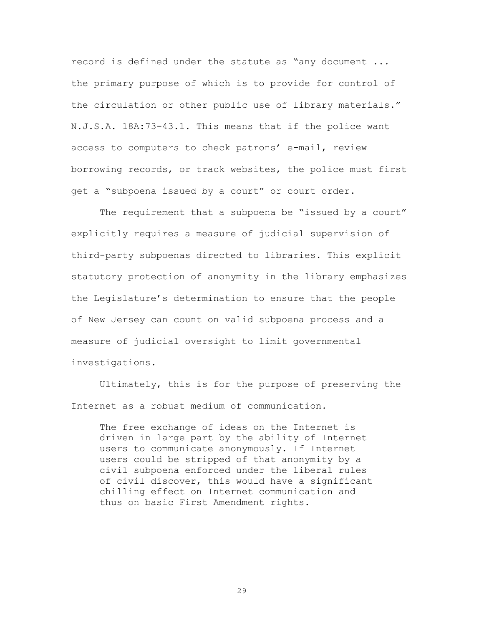record is defined under the statute as "any document ... the primary purpose of which is to provide for control of the circulation or other public use of library materials." N.J.S.A. 18A:73-43.1. This means that if the police want access to computers to check patrons' e-mail, review borrowing records, or track websites, the police must first get a "subpoena issued by a court" or court order.

The requirement that a subpoena be "issued by a court" explicitly requires a measure of judicial supervision of third-party subpoenas directed to libraries. This explicit statutory protection of anonymity in the library emphasizes the Legislature's determination to ensure that the people of New Jersey can count on valid subpoena process and a measure of judicial oversight to limit governmental investigations.

Ultimately, this is for the purpose of preserving the Internet as a robust medium of communication.

The free exchange of ideas on the Internet is driven in large part by the ability of Internet users to communicate anonymously. If Internet users could be stripped of that anonymity by a civil subpoena enforced under the liberal rules of civil discover, this would have a significant chilling effect on Internet communication and thus on basic First Amendment rights.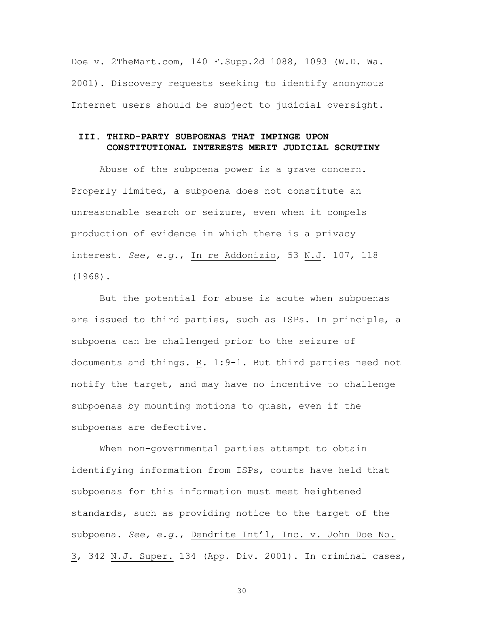Doe v. 2TheMart.com, 140 F.Supp.2d 1088, 1093 (W.D. Wa. 2001). Discovery requests seeking to identify anonymous Internet users should be subject to judicial oversight.

### **III. THIRD-PARTY SUBPOENAS THAT IMPINGE UPON CONSTITUTIONAL INTERESTS MERIT JUDICIAL SCRUTINY**

Abuse of the subpoena power is a grave concern. Properly limited, a subpoena does not constitute an unreasonable search or seizure, even when it compels production of evidence in which there is a privacy interest. *See, e.g.*, In re Addonizio, 53 N.J. 107, 118 (1968).

But the potential for abuse is acute when subpoenas are issued to third parties, such as ISPs. In principle, a subpoena can be challenged prior to the seizure of documents and things. R. 1:9-1. But third parties need not notify the target, and may have no incentive to challenge subpoenas by mounting motions to quash, even if the subpoenas are defective.

When non-governmental parties attempt to obtain identifying information from ISPs, courts have held that subpoenas for this information must meet heightened standards, such as providing notice to the target of the subpoena. *See, e.g.*, Dendrite Int'l, Inc. v. John Doe No. 3, 342 N.J. Super. 134 (App. Div. 2001). In criminal cases,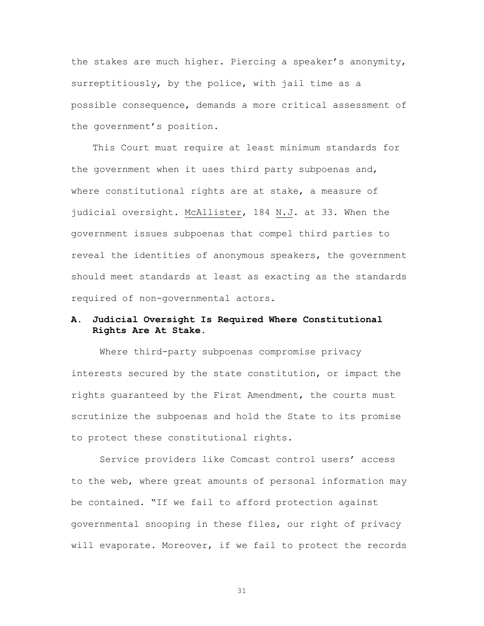the stakes are much higher. Piercing a speaker's anonymity, surreptitiously, by the police, with jail time as a possible consequence, demands a more critical assessment of the government's position.

This Court must require at least minimum standards for the government when it uses third party subpoenas and, where constitutional rights are at stake, a measure of judicial oversight. McAllister, 184 N.J. at 33. When the government issues subpoenas that compel third parties to reveal the identities of anonymous speakers, the government should meet standards at least as exacting as the standards required of non-governmental actors.

### **A. Judicial Oversight Is Required Where Constitutional Rights Are At Stake.**

Where third-party subpoenas compromise privacy interests secured by the state constitution, or impact the rights guaranteed by the First Amendment, the courts must scrutinize the subpoenas and hold the State to its promise to protect these constitutional rights.

Service providers like Comcast control users' access to the web, where great amounts of personal information may be contained. "If we fail to afford protection against governmental snooping in these files, our right of privacy will evaporate. Moreover, if we fail to protect the records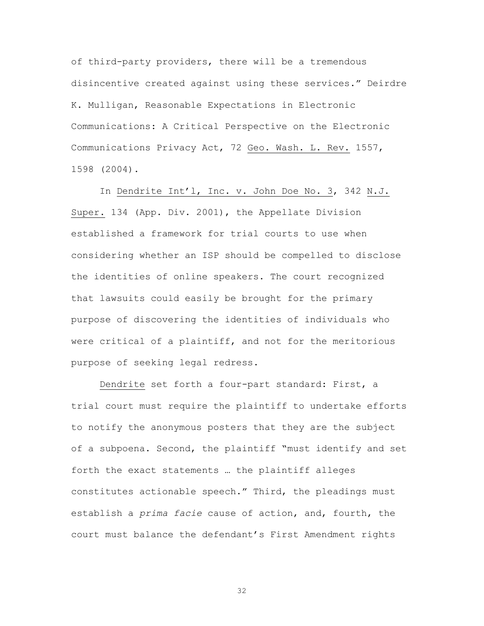of third-party providers, there will be a tremendous disincentive created against using these services." Deirdre K. Mulligan, Reasonable Expectations in Electronic Communications: A Critical Perspective on the Electronic Communications Privacy Act, 72 Geo. Wash. L. Rev. 1557, 1598 (2004).

In Dendrite Int'l, Inc. v. John Doe No. 3, 342 N.J. Super. 134 (App. Div. 2001), the Appellate Division established a framework for trial courts to use when considering whether an ISP should be compelled to disclose the identities of online speakers. The court recognized that lawsuits could easily be brought for the primary purpose of discovering the identities of individuals who were critical of a plaintiff, and not for the meritorious purpose of seeking legal redress.

Dendrite set forth a four-part standard: First, a trial court must require the plaintiff to undertake efforts to notify the anonymous posters that they are the subject of a subpoena. Second, the plaintiff "must identify and set forth the exact statements … the plaintiff alleges constitutes actionable speech." Third, the pleadings must establish a *prima facie* cause of action, and, fourth, the court must balance the defendant's First Amendment rights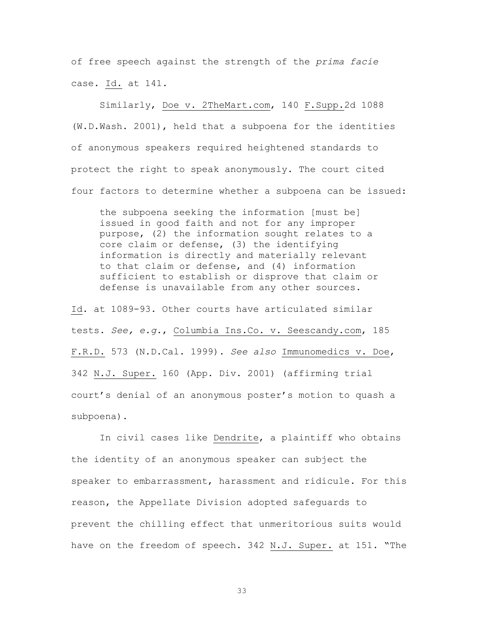of free speech against the strength of the *prima facie* case. Id. at 141.

Similarly, Doe v. 2TheMart.com, 140 F.Supp.2d 1088 (W.D.Wash. 2001), held that a subpoena for the identities of anonymous speakers required heightened standards to protect the right to speak anonymously. The court cited four factors to determine whether a subpoena can be issued:

the subpoena seeking the information [must be] issued in good faith and not for any improper purpose, (2) the information sought relates to a core claim or defense, (3) the identifying information is directly and materially relevant to that claim or defense, and (4) information sufficient to establish or disprove that claim or defense is unavailable from any other sources.

Id. at 1089-93. Other courts have articulated similar tests. *See, e.g.*, Columbia Ins.Co. v. Seescandy.com, 185 F.R.D. 573 (N.D.Cal. 1999). *See also* Immunomedics v. Doe, 342 N.J. Super. 160 (App. Div. 2001) (affirming trial court's denial of an anonymous poster's motion to quash a subpoena).

In civil cases like Dendrite, a plaintiff who obtains the identity of an anonymous speaker can subject the speaker to embarrassment, harassment and ridicule. For this reason, the Appellate Division adopted safeguards to prevent the chilling effect that unmeritorious suits would have on the freedom of speech. 342 N.J. Super. at 151. "The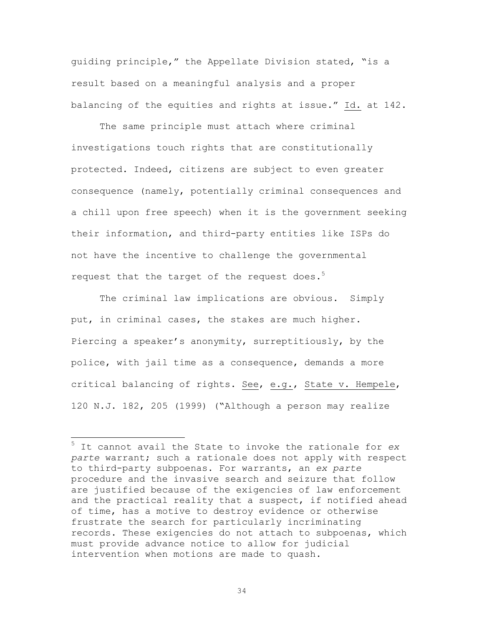guiding principle," the Appellate Division stated, "is a result based on a meaningful analysis and a proper balancing of the equities and rights at issue." Id. at 142.

The same principle must attach where criminal investigations touch rights that are constitutionally protected. Indeed, citizens are subject to even greater consequence (namely, potentially criminal consequences and a chill upon free speech) when it is the government seeking their information, and third-party entities like ISPs do not have the incentive to challenge the governmental request that the target of the request does.<sup>5</sup>

The criminal law implications are obvious. Simply put, in criminal cases, the stakes are much higher. Piercing a speaker's anonymity, surreptitiously, by the police, with jail time as a consequence, demands a more critical balancing of rights. See, e.g., State v. Hempele, 120 N.J. 182, 205 (1999) ("Although a person may realize

5 It cannot avail the State to invoke the rationale for *ex parte* warrant; such a rationale does not apply with respect to third-party subpoenas. For warrants, an *ex parte* procedure and the invasive search and seizure that follow are justified because of the exigencies of law enforcement and the practical reality that a suspect, if notified ahead of time, has a motive to destroy evidence or otherwise frustrate the search for particularly incriminating records. These exigencies do not attach to subpoenas, which must provide advance notice to allow for judicial intervention when motions are made to quash.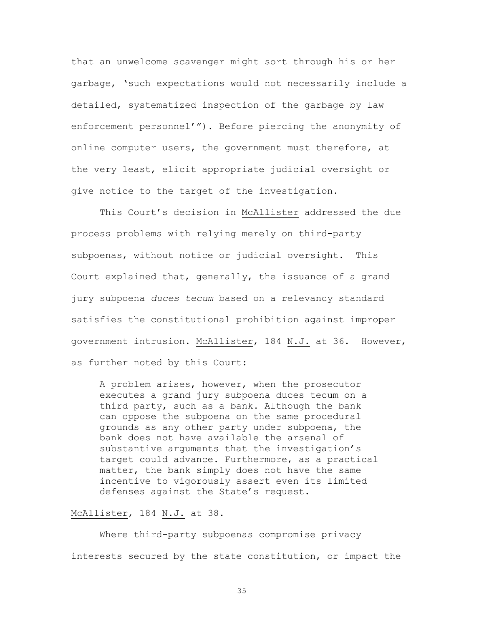that an unwelcome scavenger might sort through his or her garbage, 'such expectations would not necessarily include a detailed, systematized inspection of the garbage by law enforcement personnel'"). Before piercing the anonymity of online computer users, the government must therefore, at the very least, elicit appropriate judicial oversight or give notice to the target of the investigation.

This Court's decision in McAllister addressed the due process problems with relying merely on third-party subpoenas, without notice or judicial oversight. This Court explained that, generally, the issuance of a grand jury subpoena *duces tecum* based on a relevancy standard satisfies the constitutional prohibition against improper government intrusion. McAllister, 184 N.J. at 36. However, as further noted by this Court:

A problem arises, however, when the prosecutor executes a grand jury subpoena duces tecum on a third party, such as a bank. Although the bank can oppose the subpoena on the same procedural grounds as any other party under subpoena, the bank does not have available the arsenal of substantive arguments that the investigation's target could advance. Furthermore, as a practical matter, the bank simply does not have the same incentive to vigorously assert even its limited defenses against the State's request.

### McAllister, 184 N.J. at 38.

Where third-party subpoenas compromise privacy interests secured by the state constitution, or impact the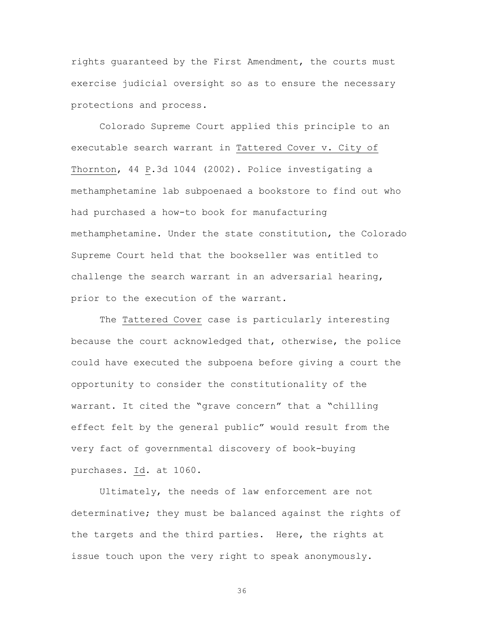rights guaranteed by the First Amendment, the courts must exercise judicial oversight so as to ensure the necessary protections and process.

Colorado Supreme Court applied this principle to an executable search warrant in Tattered Cover v. City of Thornton, 44 P.3d 1044 (2002). Police investigating a methamphetamine lab subpoenaed a bookstore to find out who had purchased a how-to book for manufacturing methamphetamine. Under the state constitution, the Colorado Supreme Court held that the bookseller was entitled to challenge the search warrant in an adversarial hearing, prior to the execution of the warrant.

The Tattered Cover case is particularly interesting because the court acknowledged that, otherwise, the police could have executed the subpoena before giving a court the opportunity to consider the constitutionality of the warrant. It cited the "grave concern" that a "chilling effect felt by the general public" would result from the very fact of governmental discovery of book-buying purchases. Id. at 1060.

Ultimately, the needs of law enforcement are not determinative; they must be balanced against the rights of the targets and the third parties. Here, the rights at issue touch upon the very right to speak anonymously.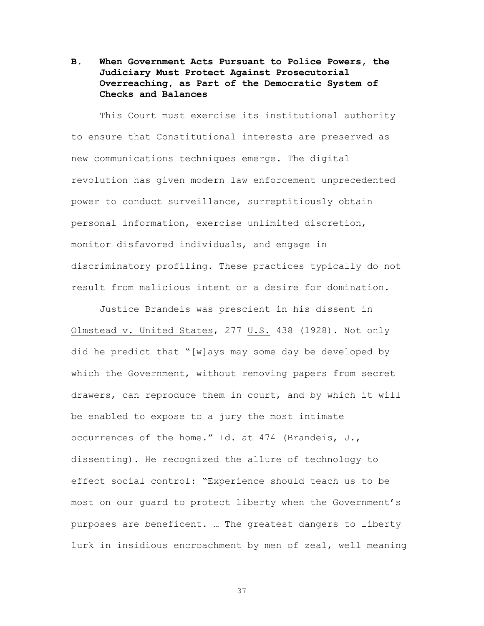## **B. When Government Acts Pursuant to Police Powers, the Judiciary Must Protect Against Prosecutorial Overreaching, as Part of the Democratic System of Checks and Balances**

This Court must exercise its institutional authority to ensure that Constitutional interests are preserved as new communications techniques emerge. The digital revolution has given modern law enforcement unprecedented power to conduct surveillance, surreptitiously obtain personal information, exercise unlimited discretion, monitor disfavored individuals, and engage in discriminatory profiling. These practices typically do not result from malicious intent or a desire for domination.

Justice Brandeis was prescient in his dissent in Olmstead v. United States, 277 U.S. 438 (1928). Not only did he predict that "[w]ays may some day be developed by which the Government, without removing papers from secret drawers, can reproduce them in court, and by which it will be enabled to expose to a jury the most intimate occurrences of the home." Id. at 474 (Brandeis, J., dissenting). He recognized the allure of technology to effect social control: "Experience should teach us to be most on our guard to protect liberty when the Government's purposes are beneficent. … The greatest dangers to liberty lurk in insidious encroachment by men of zeal, well meaning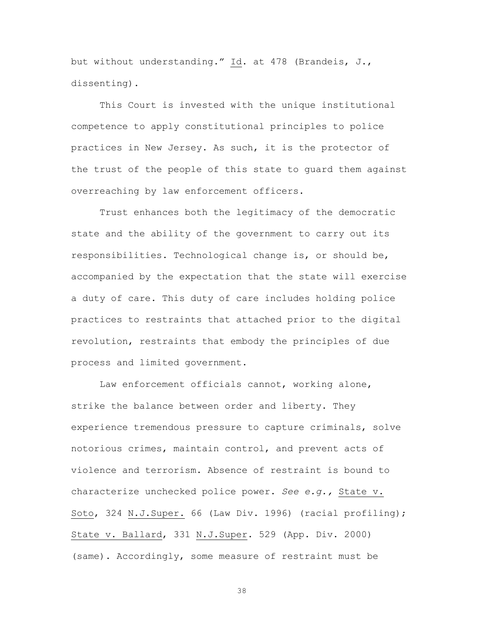but without understanding." Id. at 478 (Brandeis, J., dissenting)**.**

This Court is invested with the unique institutional competence to apply constitutional principles to police practices in New Jersey. As such, it is the protector of the trust of the people of this state to guard them against overreaching by law enforcement officers.

Trust enhances both the legitimacy of the democratic state and the ability of the government to carry out its responsibilities. Technological change is, or should be, accompanied by the expectation that the state will exercise a duty of care. This duty of care includes holding police practices to restraints that attached prior to the digital revolution, restraints that embody the principles of due process and limited government.

Law enforcement officials cannot, working alone, strike the balance between order and liberty. They experience tremendous pressure to capture criminals, solve notorious crimes, maintain control, and prevent acts of violence and terrorism. Absence of restraint is bound to characterize unchecked police power. *See e.g.,* State v. Soto, 324 N.J.Super. 66 (Law Div. 1996) (racial profiling); State v. Ballard, 331 N.J.Super. 529 (App. Div. 2000) (same). Accordingly, some measure of restraint must be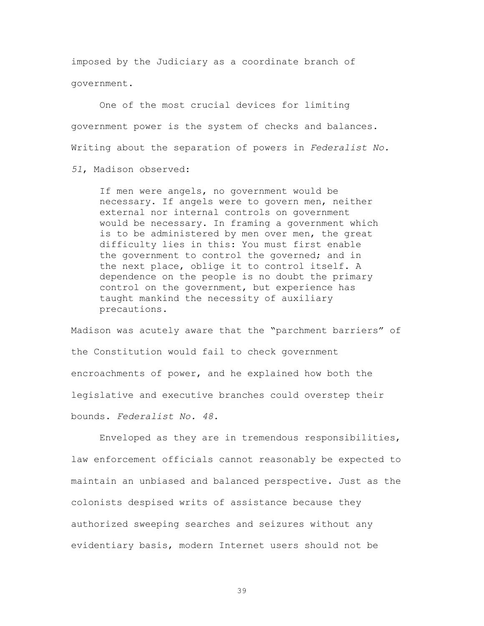imposed by the Judiciary as a coordinate branch of government.

One of the most crucial devices for limiting government power is the system of checks and balances. Writing about the separation of powers in *Federalist No.* 

*51*, Madison observed:

If men were angels, no government would be necessary. If angels were to govern men, neither external nor internal controls on government would be necessary. In framing a government which is to be administered by men over men, the great difficulty lies in this: You must first enable the government to control the governed; and in the next place, oblige it to control itself. A dependence on the people is no doubt the primary control on the government, but experience has taught mankind the necessity of auxiliary precautions.

Madison was acutely aware that the "parchment barriers" of the Constitution would fail to check government encroachments of power, and he explained how both the legislative and executive branches could overstep their bounds. *Federalist No. 48*.

Enveloped as they are in tremendous responsibilities, law enforcement officials cannot reasonably be expected to maintain an unbiased and balanced perspective. Just as the colonists despised writs of assistance because they authorized sweeping searches and seizures without any evidentiary basis, modern Internet users should not be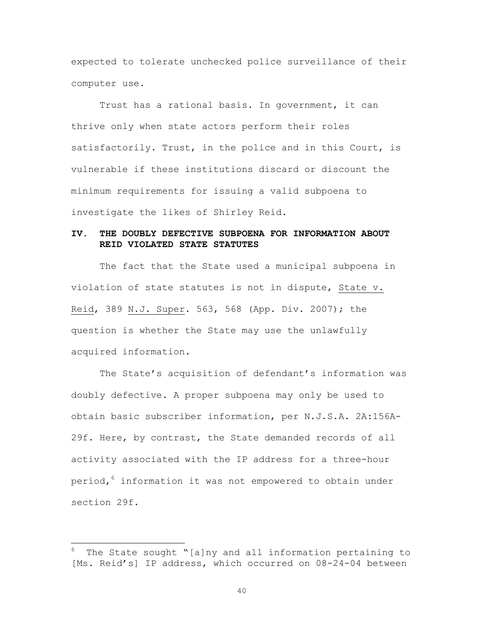expected to tolerate unchecked police surveillance of their computer use.

Trust has a rational basis. In government, it can thrive only when state actors perform their roles satisfactorily. Trust, in the police and in this Court, is vulnerable if these institutions discard or discount the minimum requirements for issuing a valid subpoena to investigate the likes of Shirley Reid.

### **IV. THE DOUBLY DEFECTIVE SUBPOENA FOR INFORMATION ABOUT REID VIOLATED STATE STATUTES**

The fact that the State used a municipal subpoena in violation of state statutes is not in dispute, State v. Reid, 389 N.J. Super. 563, 568 (App. Div. 2007); the question is whether the State may use the unlawfully acquired information.

The State's acquisition of defendant's information was doubly defective. A proper subpoena may only be used to obtain basic subscriber information, per N.J.S.A. 2A:156A-29f. Here, by contrast, the State demanded records of all activity associated with the IP address for a three-hour period,<sup>6</sup> information it was not empowered to obtain under section 29f.

6 The State sought "[a]ny and all information pertaining to [Ms. Reid's] IP address, which occurred on 08-24-04 between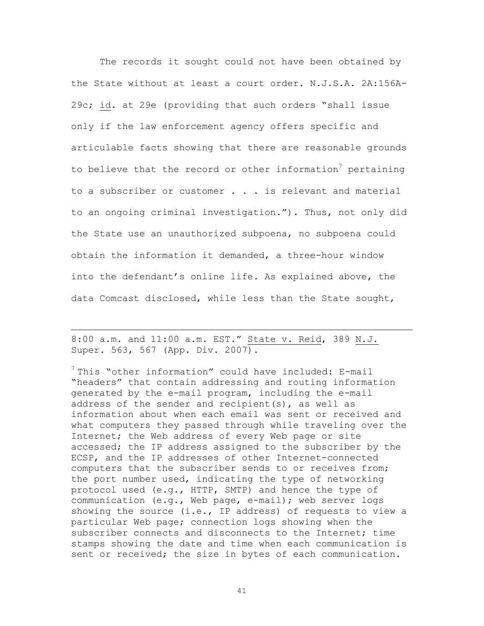The records it sought could not have been obtained by the State without at least a court order. N.J.S.A. 2A:156A-29c; id. at 29e (providing that such orders "shall issue only if the law enforcement agency offers specific and articulable facts showing that there are reasonable grounds to believe that the record or other information<sup>7</sup> pertaining to a subscriber or customer . . . is relevant and material to an ongoing criminal investigation."). Thus, not only did the State use an unauthorized subpoena, no subpoena could obtain the information it demanded, a three-hour window into the defendant's online life**.** As explained above, the data Comcast disclosed, while less than the State sought,

8:00 a.m. and 11:00 a.m. EST." State v. Reid, 389 N.J. Super. 563, 567 (App. Div. 2007)**.**

 $\overline{a}$ 

 $7$  This "other information" could have included: E-mail "headers" that contain addressing and routing information generated by the e-mail program, including the e-mail address of the sender and recipient(s), as well as information about when each email was sent or received and what computers they passed through while traveling over the Internet; the Web address of every Web page or site accessed; the IP address assigned to the subscriber by the ECSP, and the IP addresses of other Internet-connected computers that the subscriber sends to or receives from; the port number used, indicating the type of networking protocol used (e.g., HTTP, SMTP) and hence the type of communication (e.g., Web page, e-mail); web server logs showing the source (i.e., IP address) of requests to view a particular Web page; connection logs showing when the subscriber connects and disconnects to the Internet; time stamps showing the date and time when each communication is sent or received; the size in bytes of each communication.